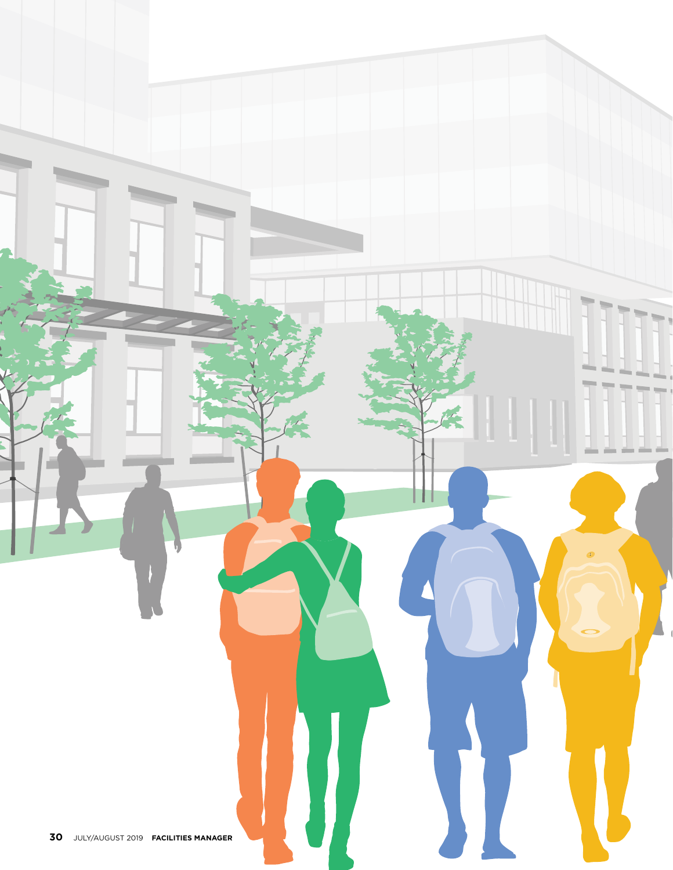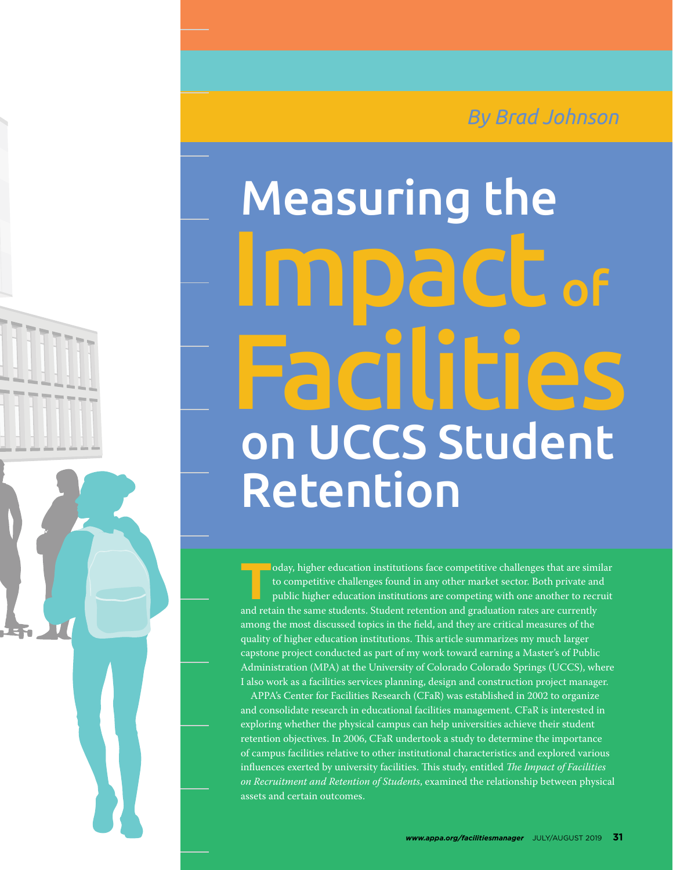*By Brad Johnson*

# ac Facilities Measuring the on UCCS Student Retention

**T**oday, higher education institutions face competitive challenges that are similar to competitive challenges found in any other market sector. Both private and public higher education institutions are competing with one another to recruit and retain the same students. Student retention and graduation rates are currently among the most discussed topics in the field, and they are critical measures of the quality of higher education institutions. This article summarizes my much larger capstone project conducted as part of my work toward earning a Master's of Public Administration (MPA) at the University of Colorado Colorado Springs (UCCS), where I also work as a facilities services planning, design and construction project manager.

APPA's Center for Facilities Research (CFaR) was established in 2002 to organize and consolidate research in educational facilities management. CFaR is interested in exploring whether the physical campus can help universities achieve their student retention objectives. In 2006, CFaR undertook a study to determine the importance of campus facilities relative to other institutional characteristics and explored various influences exerted by university facilities. This study, entitled *The Impact of Facilities on Recruitment and Retention of Students*, examined the relationship between physical assets and certain outcomes.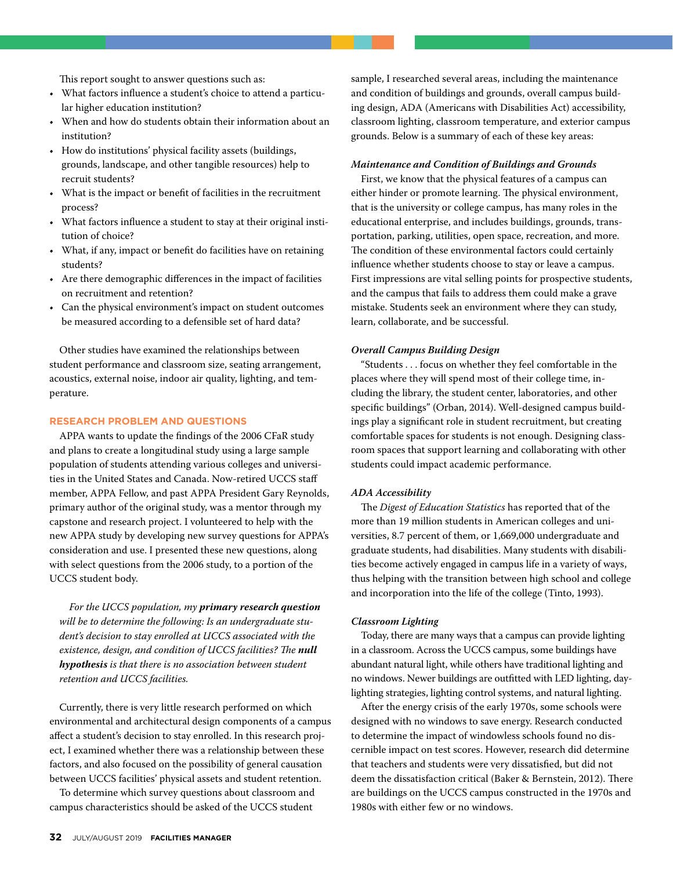This report sought to answer questions such as:

- What factors influence a student's choice to attend a particular higher education institution?
- When and how do students obtain their information about an institution?
- How do institutions' physical facility assets (buildings, grounds, landscape, and other tangible resources) help to recruit students?
- What is the impact or benefit of facilities in the recruitment process?
- What factors influence a student to stay at their original institution of choice?
- What, if any, impact or benefit do facilities have on retaining students?
- Are there demographic differences in the impact of facilities on recruitment and retention?
- Can the physical environment's impact on student outcomes be measured according to a defensible set of hard data?

Other studies have examined the relationships between student performance and classroom size, seating arrangement, acoustics, external noise, indoor air quality, lighting, and temperature.

#### **RESEARCH PROBLEM AND QUESTIONS**

APPA wants to update the findings of the 2006 CFaR study and plans to create a longitudinal study using a large sample population of students attending various colleges and universities in the United States and Canada. Now-retired UCCS staff member, APPA Fellow, and past APPA President Gary Reynolds, primary author of the original study, was a mentor through my capstone and research project. I volunteered to help with the new APPA study by developing new survey questions for APPA's consideration and use. I presented these new questions, along with select questions from the 2006 study, to a portion of the UCCS student body.

*For the UCCS population, my primary research question will be to determine the following: Is an undergraduate student's decision to stay enrolled at UCCS associated with the existence, design, and condition of UCCS facilities? The null hypothesis is that there is no association between student retention and UCCS facilities.*

Currently, there is very little research performed on which environmental and architectural design components of a campus affect a student's decision to stay enrolled. In this research project, I examined whether there was a relationship between these factors, and also focused on the possibility of general causation between UCCS facilities' physical assets and student retention.

To determine which survey questions about classroom and campus characteristics should be asked of the UCCS student

sample, I researched several areas, including the maintenance and condition of buildings and grounds, overall campus building design, ADA (Americans with Disabilities Act) accessibility, classroom lighting, classroom temperature, and exterior campus grounds. Below is a summary of each of these key areas:

#### *Maintenance and Condition of Buildings and Grounds*

First, we know that the physical features of a campus can either hinder or promote learning. The physical environment, that is the university or college campus, has many roles in the educational enterprise, and includes buildings, grounds, transportation, parking, utilities, open space, recreation, and more. The condition of these environmental factors could certainly influence whether students choose to stay or leave a campus. First impressions are vital selling points for prospective students, and the campus that fails to address them could make a grave mistake. Students seek an environment where they can study, learn, collaborate, and be successful.

#### *Overall Campus Building Design*

"Students . . . focus on whether they feel comfortable in the places where they will spend most of their college time, including the library, the student center, laboratories, and other specific buildings" (Orban, 2014). Well-designed campus buildings play a significant role in student recruitment, but creating comfortable spaces for students is not enough. Designing classroom spaces that support learning and collaborating with other students could impact academic performance.

#### *ADA Accessibility*

The *Digest of Education Statistics* has reported that of the more than 19 million students in American colleges and universities, 8.7 percent of them, or 1,669,000 undergraduate and graduate students, had disabilities. Many students with disabilities become actively engaged in campus life in a variety of ways, thus helping with the transition between high school and college and incorporation into the life of the college (Tinto, 1993).

#### *Classroom Lighting*

Today, there are many ways that a campus can provide lighting in a classroom. Across the UCCS campus, some buildings have abundant natural light, while others have traditional lighting and no windows. Newer buildings are outfitted with LED lighting, daylighting strategies, lighting control systems, and natural lighting.

After the energy crisis of the early 1970s, some schools were designed with no windows to save energy. Research conducted to determine the impact of windowless schools found no discernible impact on test scores. However, research did determine that teachers and students were very dissatisfied, but did not deem the dissatisfaction critical (Baker & Bernstein, 2012). There are buildings on the UCCS campus constructed in the 1970s and 1980s with either few or no windows.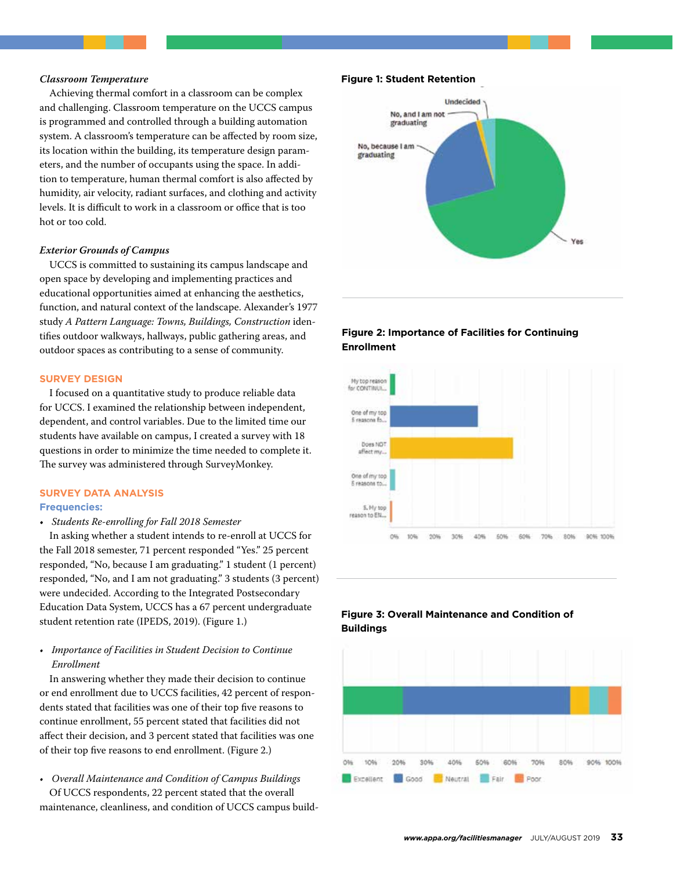#### *Classroom Temperature*

Achieving thermal comfort in a classroom can be complex and challenging. Classroom temperature on the UCCS campus is programmed and controlled through a building automation system. A classroom's temperature can be affected by room size, its location within the building, its temperature design parameters, and the number of occupants using the space. In addition to temperature, human thermal comfort is also affected by humidity, air velocity, radiant surfaces, and clothing and activity levels. It is difficult to work in a classroom or office that is too hot or too cold.

#### *Exterior Grounds of Campus*

UCCS is committed to sustaining its campus landscape and open space by developing and implementing practices and educational opportunities aimed at enhancing the aesthetics, function, and natural context of the landscape. Alexander's 1977 study *A Pattern Language: Towns, Buildings, Construction* identifies outdoor walkways, hallways, public gathering areas, and outdoor spaces as contributing to a sense of community.

#### **SURVEY DESIGN**

I focused on a quantitative study to produce reliable data for UCCS. I examined the relationship between independent, dependent, and control variables. Due to the limited time our students have available on campus, I created a survey with 18 questions in order to minimize the time needed to complete it. The survey was administered through SurveyMonkey.

#### **SURVEY DATA ANALYSIS**

#### **Frequencies:**

• *Students Re-enrolling for Fall 2018 Semester*

In asking whether a student intends to re-enroll at UCCS for the Fall 2018 semester, 71 percent responded "Yes." 25 percent responded, "No, because I am graduating." 1 student (1 percent) responded, "No, and I am not graduating." 3 students (3 percent) were undecided. According to the Integrated Postsecondary Education Data System, UCCS has a 67 percent undergraduate student retention rate (IPEDS, 2019). (Figure 1.)

#### *• Importance of Facilities in Student Decision to Continue Enrollment*

In answering whether they made their decision to continue or end enrollment due to UCCS facilities, 42 percent of respondents stated that facilities was one of their top five reasons to continue enrollment, 55 percent stated that facilities did not affect their decision, and 3 percent stated that facilities was one of their top five reasons to end enrollment. (Figure 2.)

*• Overall Maintenance and Condition of Campus Buildings* Of UCCS respondents, 22 percent stated that the overall maintenance, cleanliness, and condition of UCCS campus build-

#### **Figure 1: Student Retention**



#### **Figure 2: Importance of Facilities for Continuing Enrollment**



#### **Figure 3: Overall Maintenance and Condition of Buildings**

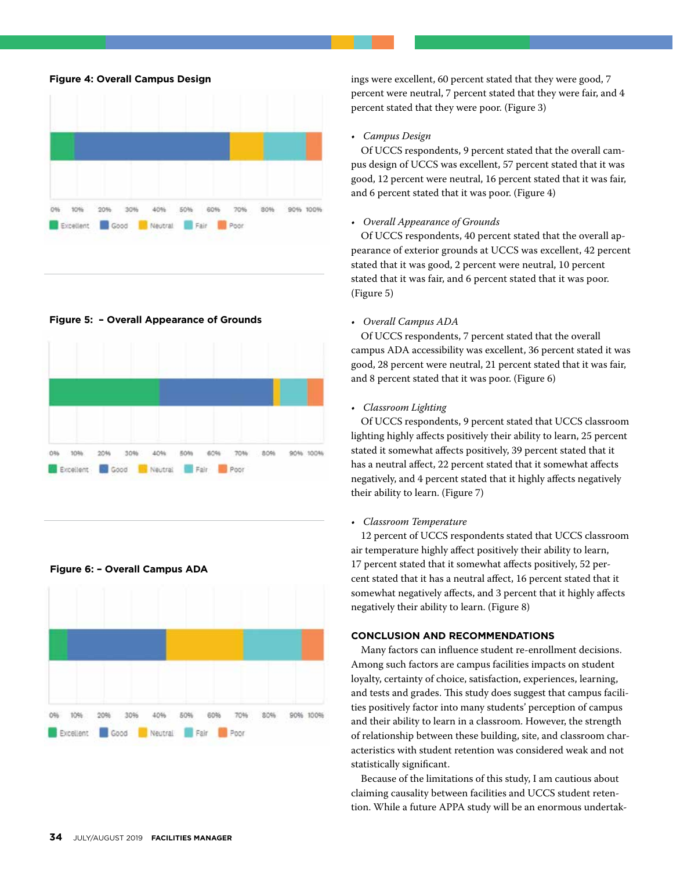

**Figure 5: – Overall Appearance of Grounds**



**Figure 6: – Overall Campus ADA**



ings were excellent, 60 percent stated that they were good, 7 percent were neutral, 7 percent stated that they were fair, and 4 percent stated that they were poor. (Figure 3)

*• Campus Design*

Of UCCS respondents, 9 percent stated that the overall campus design of UCCS was excellent, 57 percent stated that it was good, 12 percent were neutral, 16 percent stated that it was fair, and 6 percent stated that it was poor. (Figure 4)

#### *• Overall Appearance of Grounds*

Of UCCS respondents, 40 percent stated that the overall appearance of exterior grounds at UCCS was excellent, 42 percent stated that it was good, 2 percent were neutral, 10 percent stated that it was fair, and 6 percent stated that it was poor. (Figure 5)

#### *• Overall Campus ADA*

Of UCCS respondents, 7 percent stated that the overall campus ADA accessibility was excellent, 36 percent stated it was good, 28 percent were neutral, 21 percent stated that it was fair, and 8 percent stated that it was poor. (Figure 6)

*• Classroom Lighting*

Of UCCS respondents, 9 percent stated that UCCS classroom lighting highly affects positively their ability to learn, 25 percent stated it somewhat affects positively, 39 percent stated that it has a neutral affect, 22 percent stated that it somewhat affects negatively, and 4 percent stated that it highly affects negatively their ability to learn. (Figure 7)

#### *• Classroom Temperature*

12 percent of UCCS respondents stated that UCCS classroom air temperature highly affect positively their ability to learn, 17 percent stated that it somewhat affects positively, 52 percent stated that it has a neutral affect, 16 percent stated that it somewhat negatively affects, and 3 percent that it highly affects negatively their ability to learn. (Figure 8)

#### **CONCLUSION AND RECOMMENDATIONS**

Many factors can influence student re-enrollment decisions. Among such factors are campus facilities impacts on student loyalty, certainty of choice, satisfaction, experiences, learning, and tests and grades. This study does suggest that campus facilities positively factor into many students' perception of campus and their ability to learn in a classroom. However, the strength of relationship between these building, site, and classroom characteristics with student retention was considered weak and not statistically significant.

Because of the limitations of this study, I am cautious about claiming causality between facilities and UCCS student retention. While a future APPA study will be an enormous undertak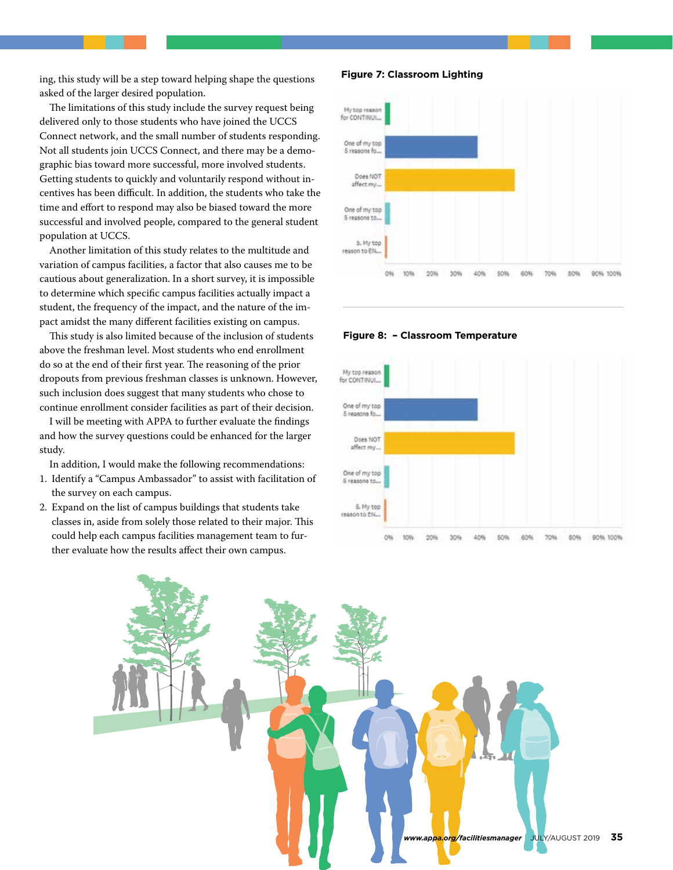ing, this study will be a step toward helping shape the questions asked of the larger desired population.

The limitations of this study include the survey request being delivered only to those students who have joined the UCCS Connect network, and the small number of students responding. Not all students join UCCS Connect, and there may be a demographic bias toward more successful, more involved students. Getting students to quickly and voluntarily respond without incentives has been difficult. In addition, the students who take the time and effort to respond may also be biased toward the more successful and involved people, compared to the general student population at UCCS.

Another limitation of this study relates to the multitude and variation of campus facilities, a factor that also causes me to be cautious about generalization. In a short survey, it is impossible to determine which specific campus facilities actually impact a student, the frequency of the impact, and the nature of the impact amidst the many different facilities existing on campus.

This study is also limited because of the inclusion of students above the freshman level. Most students who end enrollment do so at the end of their first year. The reasoning of the prior dropouts from previous freshman classes is unknown. However, such inclusion does suggest that many students who chose to continue enrollment consider facilities as part of their decision.

I will be meeting with APPA to further evaluate the findings and how the survey questions could be enhanced for the larger study.

In addition, I would make the following recommendations:

- 1. Identify a "Campus Ambassador" to assist with facilitation of the survey on each campus.
- 2. Expand on the list of campus buildings that students take classes in, aside from solely those related to their major. This could help each campus facilities management team to further evaluate how the results affect their own campus.

#### **Figure 7: Classroom Lighting**







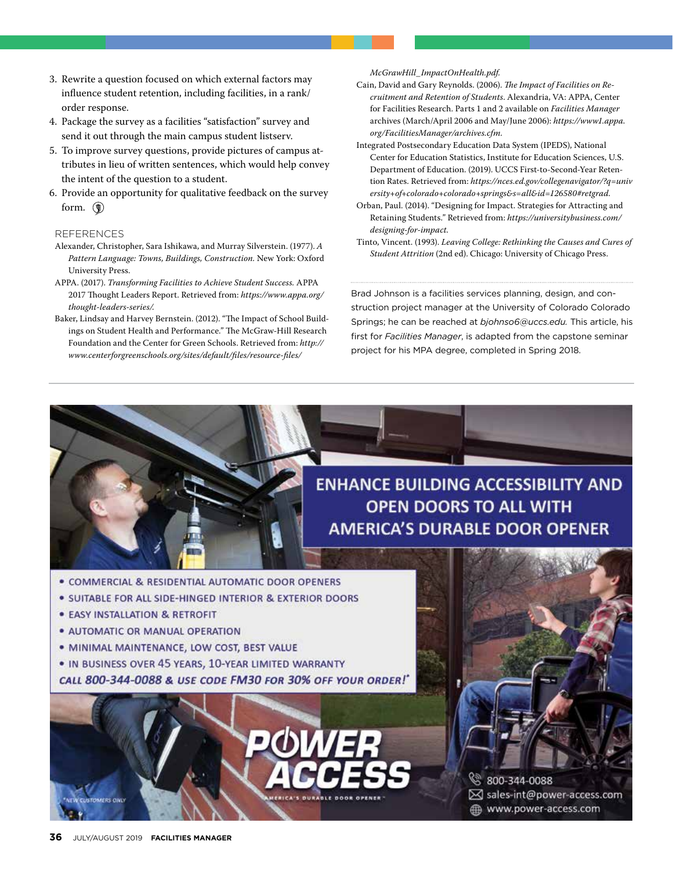- 3. Rewrite a question focused on which external factors may influence student retention, including facilities, in a rank/ order response.
- 4. Package the survey as a facilities "satisfaction" survey and send it out through the main campus student listserv.
- 5. To improve survey questions, provide pictures of campus attributes in lieu of written sentences, which would help convey the intent of the question to a student.
- 6. Provide an opportunity for qualitative feedback on the survey form.  $\circled{?}$

#### REFERENCES

- Alexander, Christopher, Sara Ishikawa, and Murray Silverstein. (1977). *A Pattern Language: Towns, Buildings, Construction.* New York: Oxford University Press.
- APPA. (2017). *Transforming Facilities to Achieve Student Success.* APPA 2017 Thought Leaders Report. Retrieved from: *https://www.appa.org/ thought-leaders-series/.*
- Baker, Lindsay and Harvey Bernstein. (2012). "The Impact of School Buildings on Student Health and Performance." The McGraw-Hill Research Foundation and the Center for Green Schools. Retrieved from: *http:// www.centerforgreenschools.org/sites/default/files/resource-files/*

*McGrawHill\_ImpactOnHealth.pdf.*

- Cain, David and Gary Reynolds. (2006). *The Impact of Facilities on Recruitment and Retention of Students*. Alexandria, VA: APPA, Center for Facilities Research. Parts 1 and 2 available on *Facilities Manager* archives (March/April 2006 and May/June 2006): *https://www1.appa. org/FacilitiesManager/archives.cfm.*
- Integrated Postsecondary Education Data System (IPEDS), National Center for Education Statistics, Institute for Education Sciences, U.S. Department of Education. (2019). UCCS First-to-Second-Year Retention Rates. Retrieved from: *https://nces.ed.gov/collegenavigator/?q=univ ersity+of+colorado+colorado+springs&s=all&id=126580#retgrad.*
- Orban, Paul. (2014). "Designing for Impact. Strategies for Attracting and Retaining Students." Retrieved from: *https://universitybusiness.com/ designing-for-impact.*
- Tinto, Vincent. (1993). *Leaving College: Rethinking the Causes and Cures of Student Attrition* (2nd ed). Chicago: University of Chicago Press.

Brad Johnson is a facilities services planning, design, and construction project manager at the University of Colorado Colorado Springs; he can be reached at *bjohnso6@uccs.edu.* This article, his first for *Facilities Manager*, is adapted from the capstone seminar project for his MPA degree, completed in Spring 2018.



- · COMMERCIAL & RESIDENTIAL AUTOMATIC DOOR OPENERS
- · SUITABLE FOR ALL SIDE-HINGED INTERIOR & EXTERIOR DOORS
- **EASY INSTALLATION & RETROFIT**
- · AUTOMATIC OR MANUAL OPERATION
- · MINIMAL MAINTENANCE, LOW COST, BEST VALUE
- . IN BUSINESS OVER 45 YEARS, 10-YEAR LIMITED WARRANTY

CALL 800-344-0088 & USE CODE FM30 FOR 30% OFF YOUR ORDER!"



800-344-0088 ⊠ sales-int@power-access.com www.power-access.com